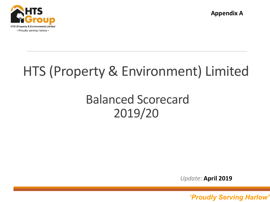

**Appendix A**

# HTS (Property & Environment) Limited

## Balanced Scorecard 2019/20

*Update:* **April 2019**

*'Proudly serving Harlow' 'Proudly Serving Harlow'* <sup>1</sup>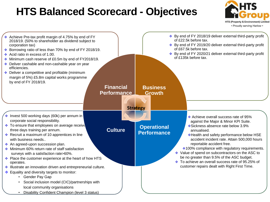### **HTS Balanced Scorecard - Objectives**



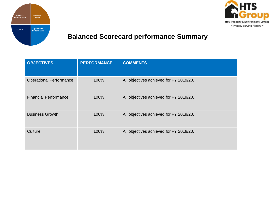



### **Balanced Scorecard performance Summary**

| <b>OBJECTIVES</b>              | <b>PERFORMANCE</b> | <b>COMMENTS</b>                         |
|--------------------------------|--------------------|-----------------------------------------|
| <b>Operational Performance</b> | 100%               | All objectives achieved for FY 2019/20. |
| <b>Financial Performance</b>   | 100%               | All objectives achieved for FY 2019/20. |
| <b>Business Growth</b>         | 100%               | All objectives achieved for FY 2019/20. |
| Culture                        | 100%               | All objectives achieved for FY 2019/20. |